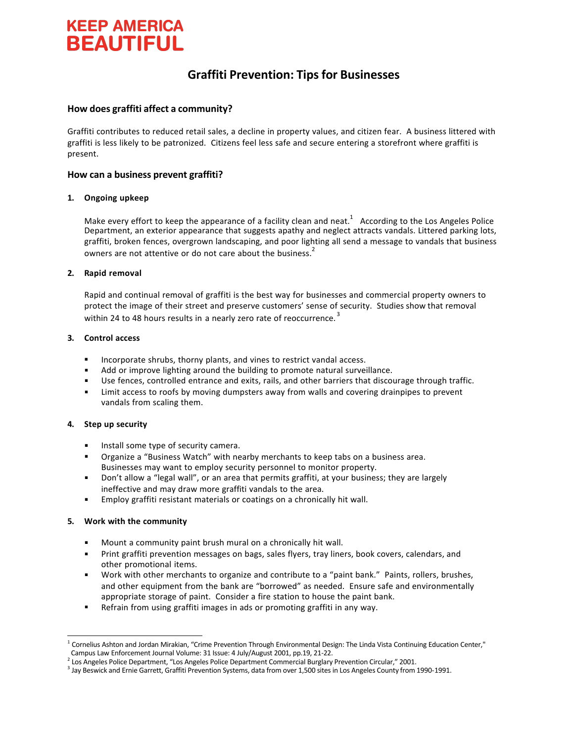# **KEEP AMERICA BEAUTIFUL**

# **Graffiti Prevention: Tips for Businesses**

# **How does graffiti affect a community?**

Graffiti contributes to reduced retail sales, a decline in property values, and citizen fear. A business littered with graffiti is less likely to be patronized. Citizens feel less safe and secure entering a storefront where graffiti is present.

# **How can a business prevent graffiti?**

#### **1. Ongoing upkeep**

Make every effort to keep the appearance of a facility clean and neat.<sup>1</sup> According to the Los Angeles Police Department, an exterior appearance that suggests apathy and neglect attracts vandals. Littered parking lots, graffiti, broken fences, overgrown landscaping, and poor lighting all send a message to vandals that business owners are not attentive or do not care about the business.<sup>2</sup>

#### **2. Rapid removal**

Rapid and continual removal of graffiti is the best way for businesses and commercial property owners to protect the image of their street and preserve customers' sense of security. Studies show that removal within 24 to 48 hours results in a nearly zero rate of reoccurrence.<sup>3</sup>

#### **3. Control access**

- Incorporate shrubs, thorny plants, and vines to restrict vandal access. ß
- Add or improve lighting around the building to promote natural surveillance.
- **SECUTE:** Use fences, controlled entrance and exits, rails, and other barriers that discourage through traffic.
- **EXECO Limit access to roofs by moving dumpsters away from walls and covering drainpipes to prevent** vandals from scaling them.

## **4. Step up security**

- **Install some type of security camera.**
- **•** Organize a "Business Watch" with nearby merchants to keep tabs on a business area. Businesses may want to employ security personnel to monitor property.
- ß Don't allow a "legal wall", or an area that permits graffiti, at your business; they are largely ineffective and may draw more graffiti vandals to the area.
- **Employ graffiti resistant materials or coatings on a chronically hit wall.**

## **5. Work with the community**

- ß Mount a community paint brush mural on a chronically hit wall.
- **•** Print graffiti prevention messages on bags, sales flyers, tray liners, book covers, calendars, and other promotional items.
- **Work with other merchants to organize and contribute to a "paint bank." Paints, rollers, brushes,** and other equipment from the bank are "borrowed" as needed. Ensure safe and environmentally appropriate storage of paint. Consider a fire station to house the paint bank.
- ß Refrain from using graffiti images in ads or promoting graffiti in any way.

<sup>&</sup>lt;sup>1</sup> Cornelius Ashton and Jordan Mirakian, "Crime Prevention Through Environmental Design: The Linda Vista Continuing Education Center," Campus Law Enforcement Journal Volume: 31 Issue: 4 July/August 2001, pp.19, 21-22.

<sup>2</sup> Los Angeles Police Department, "Los Angeles Police Department Commercial Burglary Prevention Circular," 2001.

<sup>&</sup>lt;sup>3</sup> Jay Beswick and Ernie Garrett, Graffiti Prevention Systems, data from over 1,500 sites in Los Angeles County from 1990-1991.